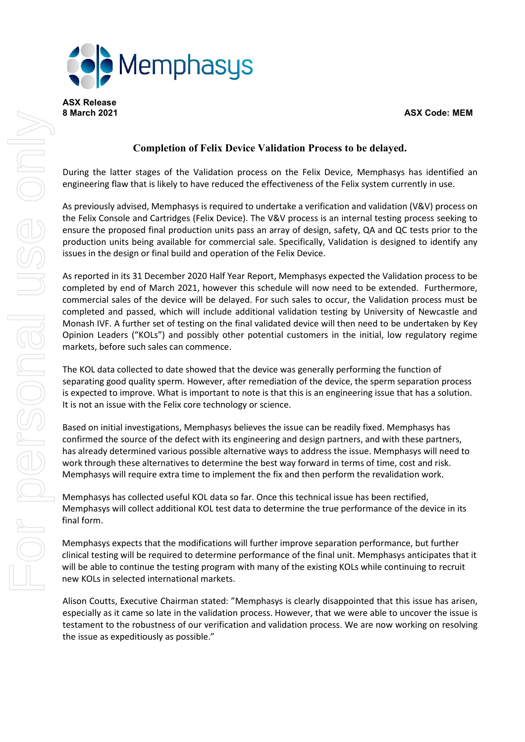

**ASX Release**

## **8 March 2021 ASX Code: MEM**

# **Completion of Felix Device Validation Process to be delayed.**

During the latter stages of the Validation process on the Felix Device, Memphasys has identified an engineering flaw that is likely to have reduced the effectiveness of the Felix system currently in use.

As previously advised, Memphasys is required to undertake a verification and validation (V&V) process on the Felix Console and Cartridges (Felix Device). The V&V process is an internal testing process seeking to ensure the proposed final production units pass an array of design, safety, QA and QC tests prior to the production units being available for commercial sale. Specifically, Validation is designed to identify any issues in the design or final build and operation of the Felix Device.

As reported in its 31 December 2020 Half Year Report, Memphasys expected the Validation process to be completed by end of March 2021, however this schedule will now need to be extended. Furthermore, commercial sales of the device will be delayed. For such sales to occur, the Validation process must be completed and passed, which will include additional validation testing by University of Newcastle and Monash IVF. A further set of testing on the final validated device will then need to be undertaken by Key Opinion Leaders ("KOLs") and possibly other potential customers in the initial, low regulatory regime markets, before such sales can commence.

The KOL data collected to date showed that the device was generally performing the function of separating good quality sperm. However, after remediation of the device, the sperm separation process is expected to improve. What is important to note is that this is an engineering issue that has a solution. It is not an issue with the Felix core technology or science.

Based on initial investigations, Memphasys believes the issue can be readily fixed. Memphasys has confirmed the source of the defect with its engineering and design partners, and with these partners, has already determined various possible alternative ways to address the issue. Memphasys will need to work through these alternatives to determine the best way forward in terms of time, cost and risk. Memphasys will require extra time to implement the fix and then perform the revalidation work.

Memphasys has collected useful KOL data so far. Once this technical issue has been rectified, Memphasys will collect additional KOL test data to determine the true performance of the device in its final form.

Memphasys expects that the modifications will further improve separation performance, but further clinical testing will be required to determine performance of the final unit. Memphasys anticipates that it will be able to continue the testing program with many of the existing KOLs while continuing to recruit new KOLs in selected international markets.

Alison Coutts, Executive Chairman stated: "Memphasys is clearly disappointed that this issue has arisen, especially as it came so late in the validation process. However, that we were able to uncover the issue is testament to the robustness of our verification and validation process. We are now working on resolving the issue as expeditiously as possible."